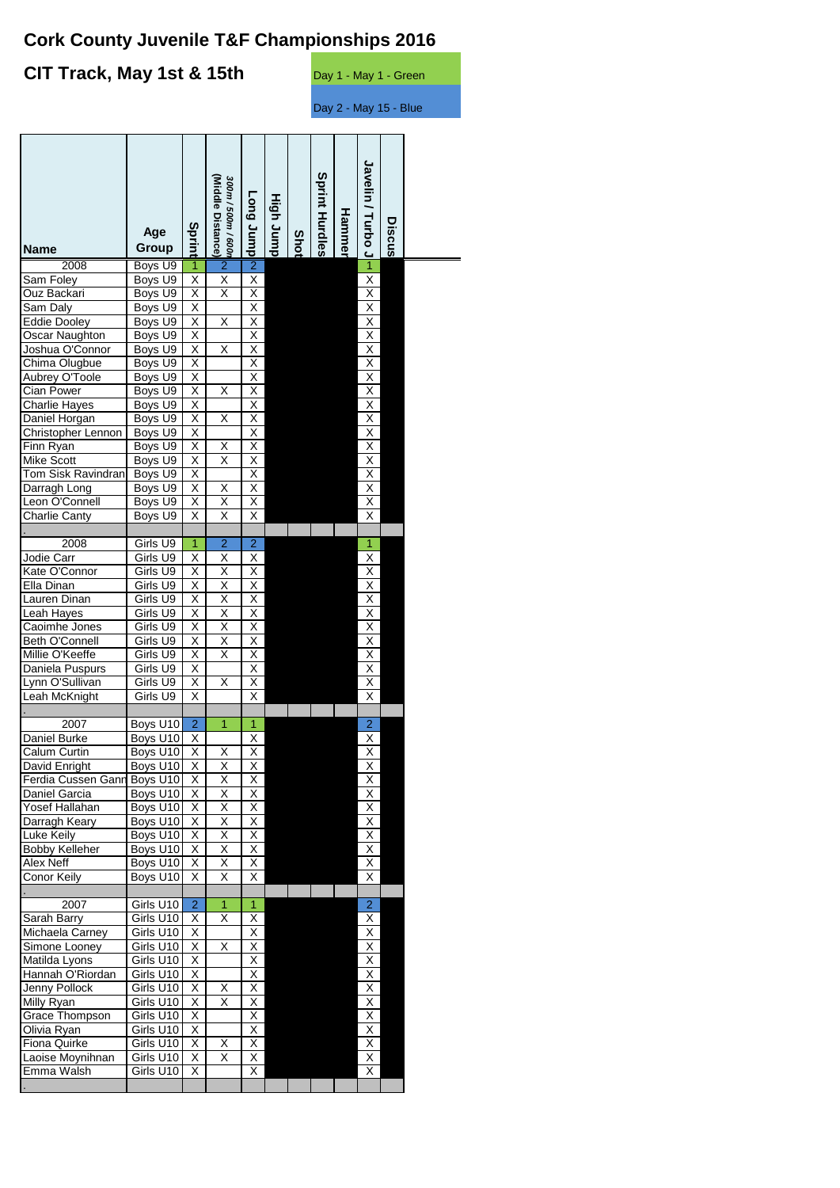# **Cork County Juvenile T&F Championships 2016**

## **CIT Track, May 1st & 15th** Day 1 - May 1 - Green

Day 2 - May 15 - Blue

|                                     |                        |                              | (Middle Distance)<br>300m / 500m / 600r |                              |           |      | <b>Sprint Hurdles</b> |        | Javelin / Hurbo J-                                 |        |  |
|-------------------------------------|------------------------|------------------------------|-----------------------------------------|------------------------------|-----------|------|-----------------------|--------|----------------------------------------------------|--------|--|
|                                     |                        |                              |                                         | dunr buo                     | High Jump |      |                       |        |                                                    |        |  |
|                                     | Age                    |                              |                                         |                              |           |      |                       | Hammer |                                                    | Discus |  |
| Name                                | Group                  | Sprint                       |                                         |                              |           | Shot |                       |        |                                                    |        |  |
| 2008                                | Boys U9                | $\overline{1}$               | $\overline{2}$                          | $\overline{2}$               |           |      |                       |        |                                                    |        |  |
| Sam Foley                           | Boys U9                | $\overline{\mathsf{x}}$      | $\overline{\mathsf{x}}$                 | $\overline{\mathsf{x}}$      |           |      |                       |        | $\overline{\mathsf{x}}$                            |        |  |
| Ouz Backari                         | Boys U9                | X                            | Χ                                       | X                            |           |      |                       |        | $\overline{\mathsf{X}}$                            |        |  |
| Sam Daly                            | Boys U9                | χ                            |                                         | $\overline{\mathsf{x}}$      |           |      |                       |        | $\overline{\mathsf{x}}$                            |        |  |
| <b>Eddie Dooley</b>                 | Boys U9                | $\overline{\mathsf{x}}$      | X                                       | Χ                            |           |      |                       |        | $\overline{\mathsf{X}}$                            |        |  |
| <b>Oscar Naughton</b>               | Boys U9                | X                            |                                         | $\frac{X}{X}$                |           |      |                       |        | $\frac{X}{X}$                                      |        |  |
| Joshua O'Connor                     | Boys U9                | χ                            | X                                       |                              |           |      |                       |        |                                                    |        |  |
| Chima Olugbue                       | Boys U9                | X                            |                                         | $\overline{\mathsf{X}}$      |           |      |                       |        | $\frac{X}{X}$                                      |        |  |
| Aubrey O'Toole<br>Cian Power        | Boys U9                | X                            |                                         | χ                            |           |      |                       |        |                                                    |        |  |
| <b>Charlie Hayes</b>                | Boys U9<br>Boys U9     | $\overline{\mathsf{x}}$<br>X | Χ                                       | X<br>$\overline{\mathsf{x}}$ |           |      |                       |        | $\frac{X}{X}$                                      |        |  |
| Daniel Horgan                       | Boys U9                | $\overline{\mathsf{x}}$      | $\overline{\mathsf{x}}$                 | Χ                            |           |      |                       |        |                                                    |        |  |
| Christopher Lennon                  | Boys U9                | Χ                            |                                         | $\overline{\mathsf{x}}$      |           |      |                       |        |                                                    |        |  |
| Finn Ryan                           | Boys U9                | $\times$                     | $\times$                                | $\overline{\mathsf{X}}$      |           |      |                       |        |                                                    |        |  |
| <b>Mike Scott</b>                   | Boys U9                | $\overline{\mathsf{x}}$      | $\overline{\mathsf{x}}$                 | $\overline{\mathsf{X}}$      |           |      |                       |        | $\frac{x}{x}$                                      |        |  |
| Tom Sisk Ravindran                  | Boys U9                | $\overline{\mathsf{x}}$      |                                         | Χ                            |           |      |                       |        |                                                    |        |  |
| Darragh Long                        | Boys U9                | $\times$                     | $\times$                                | X                            |           |      |                       |        | $\frac{X}{X}$                                      |        |  |
| Leon O'Connell                      | Boys U9                | $\overline{\mathsf{x}}$      | $\overline{\mathsf{x}}$                 | $\overline{\mathsf{x}}$      |           |      |                       |        |                                                    |        |  |
| Charlie Canty                       | Boys U9                | Χ                            | X                                       | Χ                            |           |      |                       |        | Χ                                                  |        |  |
|                                     |                        |                              |                                         |                              |           |      |                       |        |                                                    |        |  |
| 2008<br>Jodie Carr                  | Girls U9<br>Girls U9   | $\mathbf{1}$<br>$\times$     | $\overline{2}$<br>X                     | $\overline{2}$<br>X          |           |      |                       |        | $\overline{1}$                                     |        |  |
| Kate O'Connor                       | Girls U9               | $\overline{\mathsf{x}}$      | $\overline{\mathsf{x}}$                 | χ                            |           |      |                       |        | $\frac{X}{X}$                                      |        |  |
| Ella Dinan                          | Girls U9               | X                            | $\overline{\mathsf{x}}$                 | $\overline{\mathsf{X}}$      |           |      |                       |        |                                                    |        |  |
| Lauren Dinan                        | Girls U9               | $\overline{\mathsf{x}}$      | $\overline{\mathsf{X}}$                 | $\overline{\mathsf{x}}$      |           |      |                       |        | $\frac{X}{X}$                                      |        |  |
| Leah Hayes                          | Girls U9               | $\overline{\mathsf{x}}$      | $\overline{\mathsf{x}}$                 | X                            |           |      |                       |        | $\frac{X}{X}$                                      |        |  |
| Caoimhe Jones                       | Girls U9               | Χ                            | $\overline{\mathsf{x}}$                 | $\overline{\mathsf{x}}$      |           |      |                       |        |                                                    |        |  |
| Beth O'Connell                      | Girls U9               | X                            | X                                       | $\overline{\mathsf{x}}$      |           |      |                       |        | $\frac{X}{X}$                                      |        |  |
| Millie O'Keeffe                     | Girls U9               | $\overline{\mathsf{x}}$      | $\overline{\mathsf{x}}$                 | $\overline{\mathsf{x}}$      |           |      |                       |        |                                                    |        |  |
| Daniela Puspurs                     | Girls U9               | $\overline{\mathsf{x}}$      |                                         | Χ                            |           |      |                       |        | $\overline{\mathsf{X}}$                            |        |  |
| Lynn O'Sullivan                     | Girls U9               | X<br>$\overline{\mathsf{x}}$ | Χ                                       | X<br>Χ                       |           |      |                       |        | $\frac{\mathsf{X}}{\mathsf{X}}$                    |        |  |
| Leah McKnight                       | Girls U9               |                              |                                         |                              |           |      |                       |        |                                                    |        |  |
| 2007                                | Boys U10               | $\overline{2}$               | $\overline{1}$                          | $\mathbf{1}$                 |           |      |                       |        | $\mathbf 2$                                        |        |  |
| Daniel Burke                        | Boys U10               | х                            |                                         | Χ                            |           |      |                       |        | Χ                                                  |        |  |
| Calum Curtin                        | Boys U10               | $\overline{\mathsf{x}}$      | Χ                                       | Χ                            |           |      |                       |        | Χ                                                  |        |  |
| David Enright                       | Boys U10               | Χ                            | Χ                                       | $\times$                     |           |      |                       |        | Χ                                                  |        |  |
| Ferdia Cussen Gann                  | Boys U10               | Χ                            | $\overline{\mathsf{x}}$                 | $\overline{X}$               |           |      |                       |        | $\overline{\mathsf{x}}$                            |        |  |
| Daniel Garcia                       | Boys U10               | Χ                            | Χ                                       | X                            |           |      |                       |        | Χ                                                  |        |  |
| Yosef Hallahan                      | Boys U10               | Χ                            | X                                       | X                            |           |      |                       |        | Χ                                                  |        |  |
| Darragh Keary                       | Boys U10               | Χ                            | Χ                                       | X                            |           |      |                       |        | $\overline{\mathsf{x}}$                            |        |  |
| Luke Keily<br><b>Bobby Kelleher</b> | Boys U10<br>Boys U10   | Χ<br>Χ                       | Χ<br>$\overline{\mathsf{x}}$            | Χ<br>Χ                       |           |      |                       |        | Χ<br>Χ                                             |        |  |
| Alex Neff                           | Boys U10               | Χ                            | $\overline{\mathsf{x}}$                 | $\overline{\mathsf{X}}$      |           |      |                       |        | $\overline{\mathsf{X}}$                            |        |  |
| Conor Keily                         | Boys U10               | Х                            | Χ                                       | Χ                            |           |      |                       |        | $\overline{\mathsf{x}}$                            |        |  |
|                                     |                        |                              |                                         |                              |           |      |                       |        |                                                    |        |  |
| 2007                                | Girls U10              | $\overline{2}$               | 1                                       | $\overline{1}$               |           |      |                       |        | $\overline{2}$                                     |        |  |
| Sarah Barry                         | Girls U10              | Х                            | х                                       | Χ                            |           |      |                       |        | X                                                  |        |  |
| Michaela Carney                     | Girls U10              | Χ                            |                                         | Χ                            |           |      |                       |        | $\mathsf X$                                        |        |  |
| Simone Looney                       | Girls U10              | Χ                            | Χ                                       | Χ                            |           |      |                       |        | $\overline{X}$                                     |        |  |
| Matilda Lyons                       | Girls U10              | Χ                            |                                         | X                            |           |      |                       |        | Χ                                                  |        |  |
| Hannah O'Riordan                    | Girls U10              | Χ                            |                                         | $\overline{\mathsf{x}}$      |           |      |                       |        | $\overline{\mathsf{x}}$                            |        |  |
| Jenny Pollock<br>Milly Ryan         | Girls U10<br>Girls U10 | Χ<br>Χ                       | X<br>X                                  | Χ<br>X                       |           |      |                       |        | $\overline{\mathsf{X}}$<br>$\overline{\mathsf{x}}$ |        |  |
| Grace Thompson                      | Girls U10              | Χ                            |                                         | $\overline{\mathsf{x}}$      |           |      |                       |        | Χ                                                  |        |  |
| Olivia Ryan                         | Girls U10              | Х                            |                                         | X                            |           |      |                       |        | X                                                  |        |  |
| Fiona Quirke                        | Girls U10              | Χ                            | Χ                                       | X                            |           |      |                       |        | $\overline{\mathsf{x}}$                            |        |  |
| Laoise Moynihnan                    | Girls U10              | X                            | X                                       | Χ                            |           |      |                       |        | $\overline{\mathsf{x}}$                            |        |  |
| Emma Walsh                          | Girls U10              | X                            |                                         | X                            |           |      |                       |        | $\overline{\mathsf{x}}$                            |        |  |
|                                     |                        |                              |                                         |                              |           |      |                       |        |                                                    |        |  |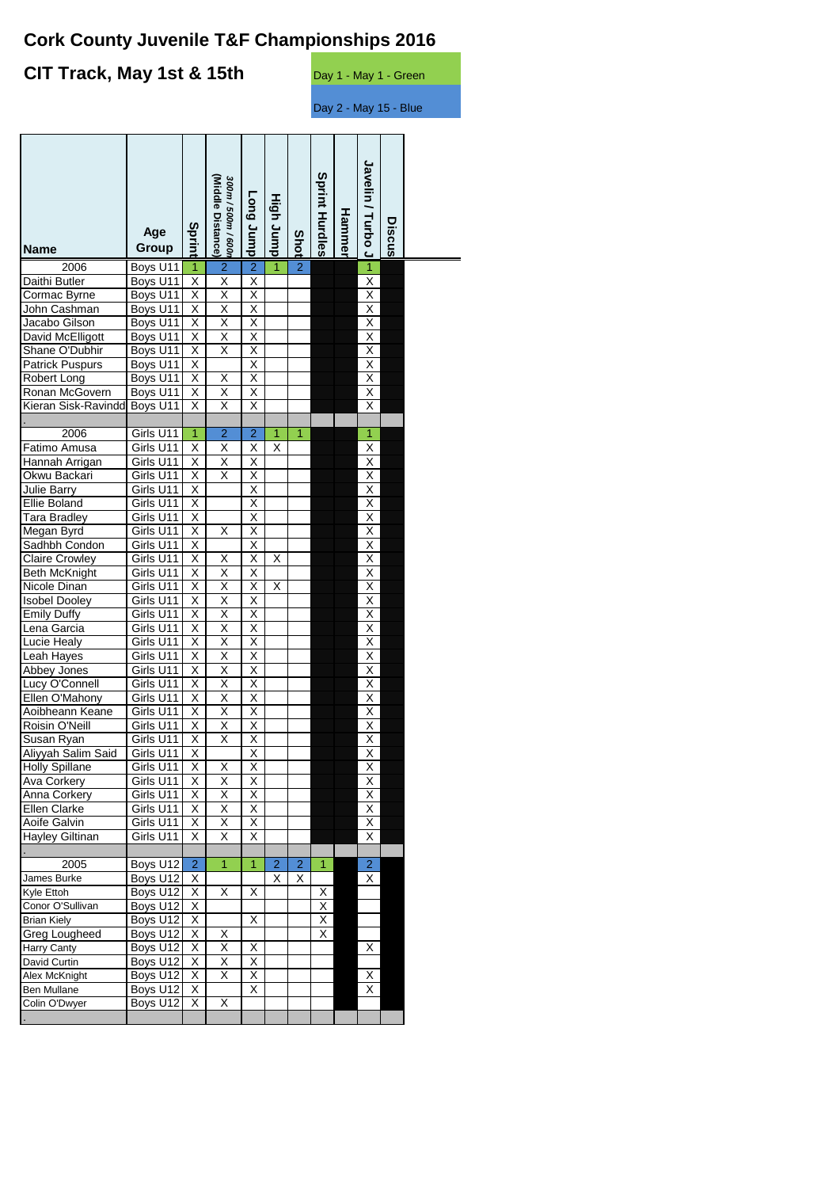## **Cork County Juvenile T&F Championships 2016**

#### **CIT Track, May 1st & 15th** Day 1 - May 1 - Green

.

.

.

Day 2 - May 15 - Blue

**Javelin / Turbo J** Javelin **Sprint Hurdles Sprint Hurdles** *300m / 500m / 600*<br>(Middle Distance) **(Middle Distance)** *300m / 500m / 600m*  **Long Jump Long Jump** High Jump **High Jump** / Turbo Hammel **Hammer Discus Sprint Age Shot Group Name** 2006 Boys U11 1 2 2 1 2 1<br>Butler Boys U11 X X X X X X Daithi Butler Boys U11 X X X X Cormac Byrne  $\qquad$  Boys U11  $\vert$  X  $\vert$  X  $\vert$  X Valid John Cashman Boys U11 X X X X<br>
Jacabo Gilson Boys U11 X X X X X<br>
David McElligott Boys U11 X X X X X<br>
Shane O'Dubhir Boys U11 X X X X X<br>
Patrick Puspurs Boys U11 X X X X X X<br>
Robert Long Boys U11 X X X X X X Jacabo Gilson Boys U11 X X X<br>David McElligott Boys U11 X X X David McElligott Boys U11 X X X<br>Shane O'Dubhir Boys U11 X X X Shane O'Dubhir Boys U11 X X X<br>Patrick Puspurs Boys U11 X X Patrick Puspurs Boys U11 X X<br>Robert Long Boys U11 X X X Robert Long Boys U11 X X X X Ronan McGovern | Boys U11 | X | X Kieran Sisk-RavinddranBoys U11 X X X X 2006 Girls U11 1 2 2 1 1 1 1<br>Amusa Girls U11 X X X X X X<br>1 Arrigan Girls U11 X X X X X Fatimo Amusa  $\left| \text{Girls } \text{U11} \right| \times \left| \right| \times \left| \right| \times$ Hannah Arrigan Girls U11 X X X X Okwu Backari Girls U11 X Julie Barry Girls U11 X<br>
Ellie Boland Girls U11 X X Ellie Boland Girls U11 X Tara Bradley Girls U11 X X X Megan Byrd Girls U11 X X X<br>Sadhbh Condon Girls U11 X X Sadhbh Condon Girls U11 X<br>Claire Crowley Girls U11 X X X Claire Crowley Girls U11 X X X X X Beth McKnight Girls U11 X X X X<br>
Nicole Dinan Girls U11 X X X X X X<br>
Sobel Dooley Girls U11 X X X X<br>
Emily Duffy Girls U11 X X X X<br>
Lena Garcia Girls U11 X X X X X Nicole Dinan Girls U11 X X X X Isobel Dooley Girls U11 X X X<br>Emily Duffy Girls U11 X X X Emily Duffy Girls U11 X Lena Garcia Girls U11 X X X X Lucie Healy Girls U11 X X X<br>Leah Hayes Girls U11 X X X Leah Hayes Girls U11 X X X X Abbey Jones Lucy O'Connell Girls U11 X X X X Ellen O'Mahony  $\Box$  Girls U11  $\Box$  X  $\Box$  X Aoibheann Keane Girls U11 X X X X Roisin O'Neill Girls U11 X X X Susan Ryan Girls U11 X X X X Aliyyah Salim Said Girls U11 X X X X Holly Spillane Girls U11 X X X X Ava Corkery Girls U11 X X X X Anna Corkery Girls U11 X X X X Ellen Clarke Aoife Galvin Girls U11 X X X X T Hayley Giltinan Girls U11 X X X X 2005 | Boys U12 2 1 1 2 2 1 2 James Burke Boys U12 X X X X Boys U12 Conor O'Sullivan Boys U12 X<br>
Brian Kiely Boys U12 X X X X Boys U12 Greg Lougheed Boys U12 X X X Harry Canty Boys U12 X X X X X X X David Curtin | Boys U12 X X X X Alex McKnight Boys U12 X X X X X X X Ben Mullane Boys U12 X X X Colin O'Dwyer